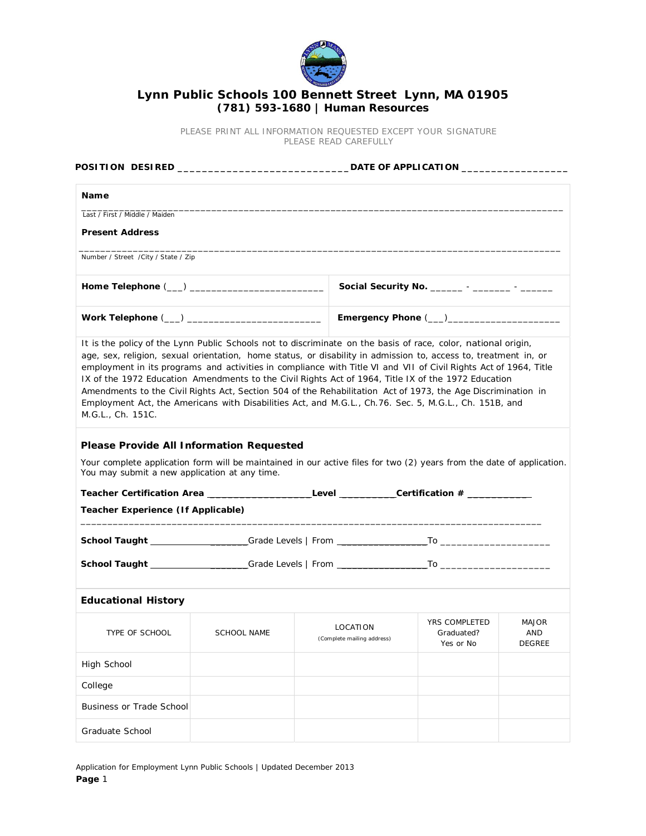

## **Lynn Public Schools 100 Bennett Street Lynn, MA 01905 (781) 593-1680 | Human Resources**

PLEASE PRINT ALL INFORMATION REQUESTED EXCEPT YOUR SIGNATURE *PLEASE READ CAREFULLY*

| Name                                                                 |  |                                                                                                                                                                                                                                                                                                                                                                                                                                                  |                                                |                                      |  |
|----------------------------------------------------------------------|--|--------------------------------------------------------------------------------------------------------------------------------------------------------------------------------------------------------------------------------------------------------------------------------------------------------------------------------------------------------------------------------------------------------------------------------------------------|------------------------------------------------|--------------------------------------|--|
| Last / First / Middle / Maiden                                       |  |                                                                                                                                                                                                                                                                                                                                                                                                                                                  |                                                |                                      |  |
| <b>Present Address</b>                                               |  |                                                                                                                                                                                                                                                                                                                                                                                                                                                  |                                                |                                      |  |
| Number / Street / City / State / Zip                                 |  |                                                                                                                                                                                                                                                                                                                                                                                                                                                  |                                                |                                      |  |
|                                                                      |  |                                                                                                                                                                                                                                                                                                                                                                                                                                                  | Social Security No. _______ - _______ - ______ |                                      |  |
|                                                                      |  |                                                                                                                                                                                                                                                                                                                                                                                                                                                  |                                                |                                      |  |
| M.G.L., Ch. 151C.<br><b>Please Provide All Information Requested</b> |  | employment in its programs and activities in compliance with Title VI and VII of Civil Rights Act of 1964, Title<br>IX of the 1972 Education Amendments to the Civil Rights Act of 1964, Title IX of the 1972 Education<br>Amendments to the Civil Rights Act, Section 504 of the Rehabilitation Act of 1973, the Age Discrimination in<br>Employment Act, the Americans with Disabilities Act, and M.G.L., Ch.76. Sec. 5, M.G.L., Ch. 151B, and |                                                |                                      |  |
| You may submit a new application at any time.                        |  | Your complete application form will be maintained in our active files for two (2) years from the date of application.                                                                                                                                                                                                                                                                                                                            |                                                |                                      |  |
| Teacher Experience (If Applicable)                                   |  |                                                                                                                                                                                                                                                                                                                                                                                                                                                  |                                                |                                      |  |
|                                                                      |  |                                                                                                                                                                                                                                                                                                                                                                                                                                                  |                                                |                                      |  |
|                                                                      |  |                                                                                                                                                                                                                                                                                                                                                                                                                                                  |                                                |                                      |  |
| <b>Educational History</b>                                           |  |                                                                                                                                                                                                                                                                                                                                                                                                                                                  |                                                |                                      |  |
| TYPE OF SCHOOL SCHOOL NAME                                           |  | LOCATION<br>(Complete mailing address)                                                                                                                                                                                                                                                                                                                                                                                                           | YRS COMPLETED<br>Graduated?<br>Yes or No       | MAJOR<br><b>AND</b><br><b>DEGREE</b> |  |
| High School                                                          |  |                                                                                                                                                                                                                                                                                                                                                                                                                                                  |                                                |                                      |  |
| College                                                              |  |                                                                                                                                                                                                                                                                                                                                                                                                                                                  |                                                |                                      |  |
| <b>Business or Trade School</b>                                      |  |                                                                                                                                                                                                                                                                                                                                                                                                                                                  |                                                |                                      |  |

Application for Employment Lynn Public Schools | Updated December 2013 **Page** 1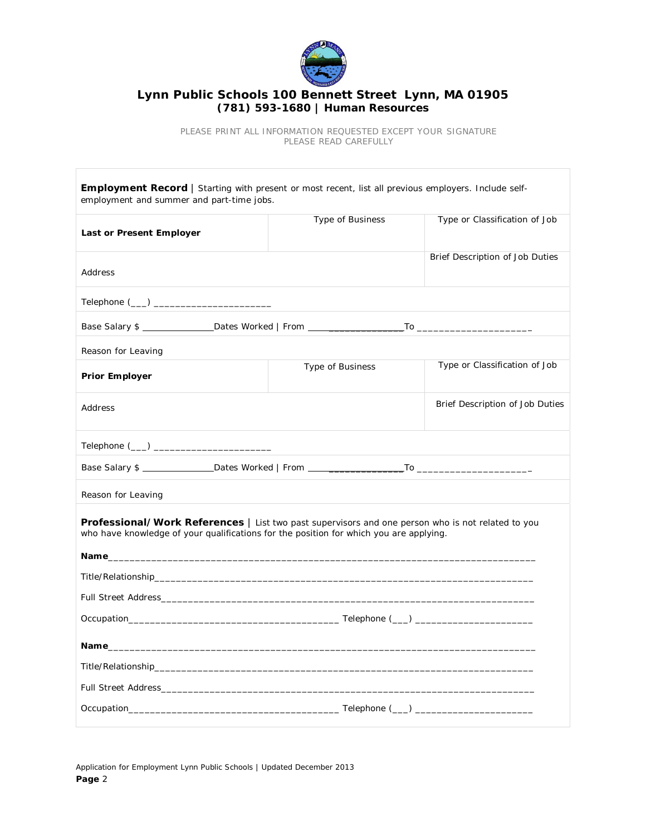

## **Lynn Public Schools 100 Bennett Street Lynn, MA 01905 (781) 593-1680 | Human Resources**

*PLEASE PRINT ALL INFORMATION REQUESTED EXCEPT YOUR SIGNATURE PLEASE READ CAREFULLY*

| <b>Employment Record</b>   Starting with present or most recent, list all previous employers. Include self-<br>employment and summer and part-time jobs.                                                                       |                  |                                 |
|--------------------------------------------------------------------------------------------------------------------------------------------------------------------------------------------------------------------------------|------------------|---------------------------------|
| Last or Present Employer                                                                                                                                                                                                       | Type of Business | Type or Classification of Job   |
| Address                                                                                                                                                                                                                        |                  | Brief Description of Job Duties |
| Telephone (___) ___________________________                                                                                                                                                                                    |                  |                                 |
|                                                                                                                                                                                                                                |                  |                                 |
| Reason for Leaving                                                                                                                                                                                                             |                  |                                 |
| <b>Prior Employer</b>                                                                                                                                                                                                          | Type of Business | Type or Classification of Job   |
| Address                                                                                                                                                                                                                        |                  | Brief Description of Job Duties |
|                                                                                                                                                                                                                                |                  |                                 |
|                                                                                                                                                                                                                                |                  |                                 |
| Reason for Leaving                                                                                                                                                                                                             |                  |                                 |
| Professional/Work References   List two past supervisors and one person who is not related to you<br>who have knowledge of your qualifications for the position for which you are applying.                                    |                  |                                 |
|                                                                                                                                                                                                                                |                  |                                 |
| Full Street Address and the control of the control of the control of the control of the control of the control of the control of the control of the control of the control of the control of the control of the control of the |                  |                                 |
|                                                                                                                                                                                                                                |                  |                                 |
|                                                                                                                                                                                                                                |                  |                                 |
|                                                                                                                                                                                                                                |                  |                                 |
| Full Street Address and the control of the control of the control of the control of the control of the control of the control of the control of the control of the control of the control of the control of the control of the |                  |                                 |
|                                                                                                                                                                                                                                |                  |                                 |

Application for Employment Lynn Public Schools | Updated December 2013 **Page** 2